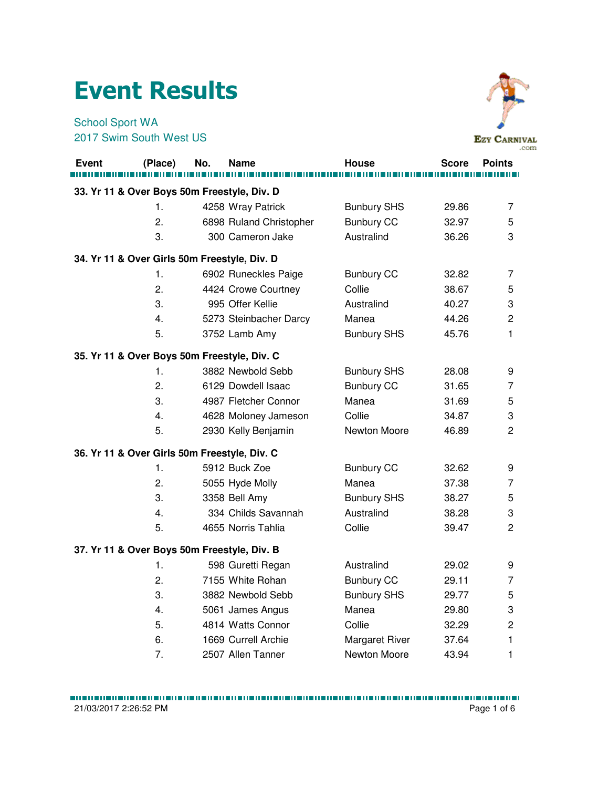## Event Results

## School Sport WA 2017 Swim South West US



|              |         |                                              |                       |              | .com           |
|--------------|---------|----------------------------------------------|-----------------------|--------------|----------------|
| <b>Event</b> | (Place) | No.<br><b>Name</b>                           | House                 | <b>Score</b> | <b>Points</b>  |
|              |         |                                              |                       |              |                |
|              |         | 33. Yr 11 & Over Boys 50m Freestyle, Div. D  |                       |              |                |
|              | 1.      | 4258 Wray Patrick                            | <b>Bunbury SHS</b>    | 29.86        | $\overline{7}$ |
|              | 2.      | 6898 Ruland Christopher                      | <b>Bunbury CC</b>     | 32.97        | 5              |
|              | 3.      | 300 Cameron Jake                             | Australind            | 36.26        | 3              |
|              |         | 34. Yr 11 & Over Girls 50m Freestyle, Div. D |                       |              |                |
|              | 1.      | 6902 Runeckles Paige                         | <b>Bunbury CC</b>     | 32.82        | 7              |
|              | 2.      | 4424 Crowe Courtney                          | Collie                | 38.67        | 5              |
|              | 3.      | 995 Offer Kellie                             | Australind            | 40.27        | 3              |
|              | 4.      | 5273 Steinbacher Darcy                       | Manea                 | 44.26        | $\overline{c}$ |
|              | 5.      | 3752 Lamb Amy                                | <b>Bunbury SHS</b>    | 45.76        | 1              |
|              |         | 35. Yr 11 & Over Boys 50m Freestyle, Div. C  |                       |              |                |
|              | 1.      | 3882 Newbold Sebb                            | <b>Bunbury SHS</b>    | 28.08        | 9              |
|              | 2.      | 6129 Dowdell Isaac                           | <b>Bunbury CC</b>     | 31.65        | $\overline{7}$ |
|              | 3.      | 4987 Fletcher Connor                         | Manea                 | 31.69        | 5              |
|              | 4.      | 4628 Moloney Jameson                         | Collie                | 34.87        | 3              |
|              | 5.      | 2930 Kelly Benjamin                          | Newton Moore          | 46.89        | $\overline{c}$ |
|              |         | 36. Yr 11 & Over Girls 50m Freestyle, Div. C |                       |              |                |
|              | 1.      | 5912 Buck Zoe                                | <b>Bunbury CC</b>     | 32.62        | 9              |
|              | 2.      | 5055 Hyde Molly                              | Manea                 | 37.38        | 7              |
|              | 3.      | 3358 Bell Amy                                | <b>Bunbury SHS</b>    | 38.27        | 5              |
|              | 4.      | 334 Childs Savannah                          | Australind            | 38.28        | 3              |
|              | 5.      | 4655 Norris Tahlia                           | Collie                | 39.47        | $\overline{c}$ |
|              |         | 37. Yr 11 & Over Boys 50m Freestyle, Div. B  |                       |              |                |
|              | 1.      | 598 Guretti Regan                            | Australind            | 29.02        | 9              |
|              | 2.      | 7155 White Rohan                             | <b>Bunbury CC</b>     | 29.11        | $\overline{7}$ |
|              | 3.      | 3882 Newbold Sebb                            | <b>Bunbury SHS</b>    | 29.77        | 5              |
|              | 4.      | 5061 James Angus                             | Manea                 | 29.80        | 3              |
|              | 5.      | 4814 Watts Connor                            | Collie                | 32.29        | $\overline{c}$ |
|              | 6.      | 1669 Currell Archie                          | <b>Margaret River</b> | 37.64        | 1              |
|              | 7.      | 2507 Allen Tanner                            | Newton Moore          | 43.94        | 1              |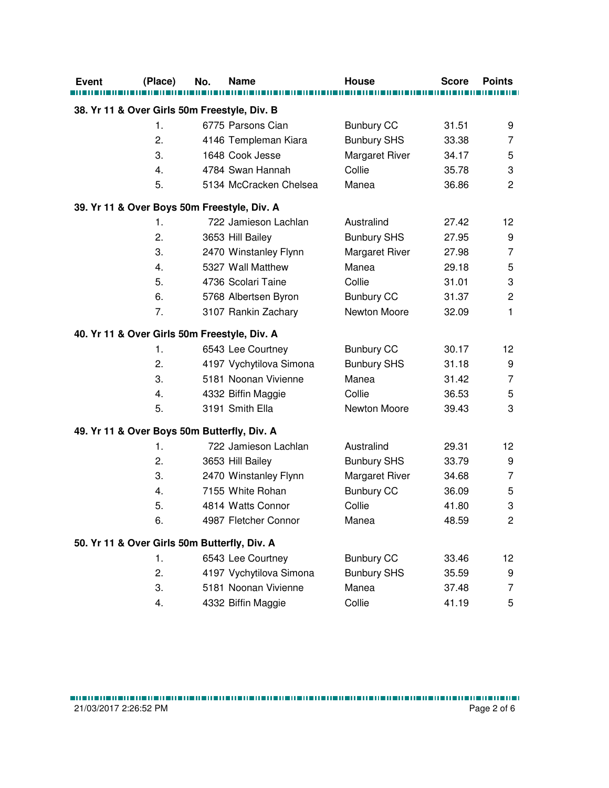| <b>Event</b> | (Place)                                      | No. | <b>Name</b>             | <b>House</b>          | <b>Score</b> | <b>Points</b>   |
|--------------|----------------------------------------------|-----|-------------------------|-----------------------|--------------|-----------------|
|              |                                              |     |                         |                       |              |                 |
|              | 38. Yr 11 & Over Girls 50m Freestyle, Div. B |     |                         |                       |              |                 |
|              | $\mathbf{1}$ .                               |     | 6775 Parsons Cian       | <b>Bunbury CC</b>     | 31.51        | 9               |
|              | 2.                                           |     | 4146 Templeman Kiara    | <b>Bunbury SHS</b>    | 33.38        | 7               |
|              | 3.                                           |     | 1648 Cook Jesse         | Margaret River        | 34.17        | 5               |
|              | 4.                                           |     | 4784 Swan Hannah        | Collie                | 35.78        | 3               |
|              | 5.                                           |     | 5134 McCracken Chelsea  | Manea                 | 36.86        | $\overline{c}$  |
|              | 39. Yr 11 & Over Boys 50m Freestyle, Div. A  |     |                         |                       |              |                 |
|              | 1.                                           |     | 722 Jamieson Lachlan    | Australind            | 27.42        | 12              |
|              | 2.                                           |     | 3653 Hill Bailey        | <b>Bunbury SHS</b>    | 27.95        | 9               |
|              | 3.                                           |     | 2470 Winstanley Flynn   | Margaret River        | 27.98        | 7               |
|              | 4.                                           |     | 5327 Wall Matthew       | Manea                 | 29.18        | 5               |
|              | 5.                                           |     | 4736 Scolari Taine      | Collie                | 31.01        | 3               |
|              | 6.                                           |     | 5768 Albertsen Byron    | <b>Bunbury CC</b>     | 31.37        | $\overline{c}$  |
|              | 7.                                           |     | 3107 Rankin Zachary     | Newton Moore          | 32.09        | 1               |
|              | 40. Yr 11 & Over Girls 50m Freestyle, Div. A |     |                         |                       |              |                 |
|              | 1.                                           |     | 6543 Lee Courtney       | <b>Bunbury CC</b>     | 30.17        | 12 <sub>2</sub> |
|              | 2.                                           |     | 4197 Vychytilova Simona | <b>Bunbury SHS</b>    | 31.18        | 9               |
|              | 3.                                           |     | 5181 Noonan Vivienne    | Manea                 | 31.42        | 7               |
|              | 4.                                           |     | 4332 Biffin Maggie      | Collie                | 36.53        | 5               |
|              | 5.                                           |     | 3191 Smith Ella         | Newton Moore          | 39.43        | 3               |
|              | 49. Yr 11 & Over Boys 50m Butterfly, Div. A  |     |                         |                       |              |                 |
|              | 1.                                           |     | 722 Jamieson Lachlan    | Australind            | 29.31        | 12 <sub>2</sub> |
|              | 2.                                           |     | 3653 Hill Bailey        | <b>Bunbury SHS</b>    | 33.79        | 9               |
|              | 3.                                           |     | 2470 Winstanley Flynn   | <b>Margaret River</b> | 34.68        | 7               |
|              | 4.                                           |     | 7155 White Rohan        | <b>Bunbury CC</b>     | 36.09        | 5               |
|              | 5.                                           |     | 4814 Watts Connor       | Collie                | 41.80        | 3               |
|              | 6.                                           |     | 4987 Fletcher Connor    | Manea                 | 48.59        | $\overline{2}$  |
|              |                                              |     |                         |                       |              |                 |
|              | 50. Yr 11 & Over Girls 50m Butterfly, Div. A |     |                         |                       |              |                 |
|              | 1.                                           |     | 6543 Lee Courtney       | <b>Bunbury CC</b>     | 33.46        | 12 <sub>2</sub> |
|              | 2.                                           |     | 4197 Vychytilova Simona | <b>Bunbury SHS</b>    | 35.59        | 9               |
|              | 3.                                           |     | 5181 Noonan Vivienne    | Manea                 | 37.48        | 7               |
|              | 4.                                           |     | 4332 Biffin Maggie      | Collie                | 41.19        | 5               |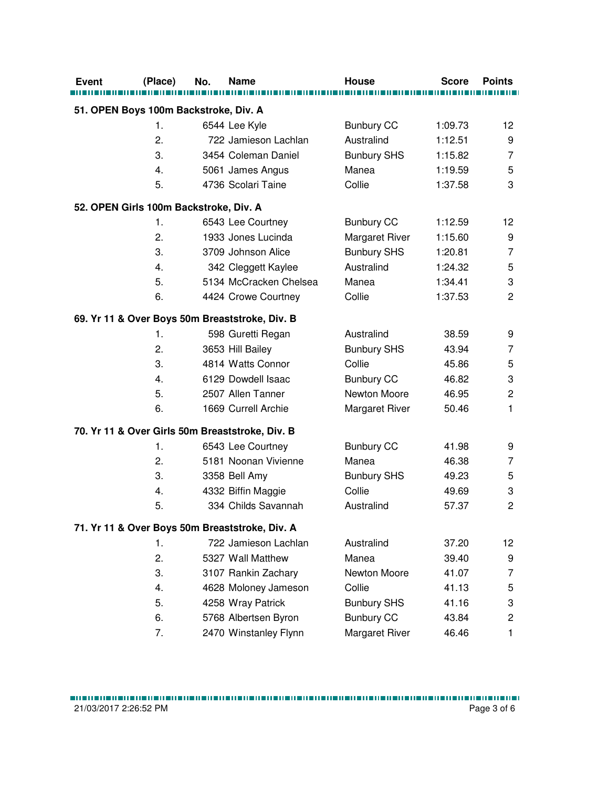| Event                                  | (Place) | No. | <b>Name</b>                                     | <b>House</b>          | <b>Score</b> | <b>Points</b>             |
|----------------------------------------|---------|-----|-------------------------------------------------|-----------------------|--------------|---------------------------|
|                                        |         |     |                                                 |                       |              |                           |
| 51. OPEN Boys 100m Backstroke, Div. A  |         |     |                                                 |                       |              |                           |
|                                        | 1.      |     | 6544 Lee Kyle                                   | <b>Bunbury CC</b>     | 1:09.73      | 12                        |
|                                        | 2.      |     | 722 Jamieson Lachlan                            | Australind            | 1:12.51      | 9                         |
|                                        | 3.      |     | 3454 Coleman Daniel                             | <b>Bunbury SHS</b>    | 1:15.82      | $\overline{7}$            |
|                                        | 4.      |     | 5061 James Angus                                | Manea                 | 1:19.59      | 5                         |
|                                        | 5.      |     | 4736 Scolari Taine                              | Collie                | 1:37.58      | 3                         |
| 52. OPEN Girls 100m Backstroke, Div. A |         |     |                                                 |                       |              |                           |
|                                        | 1.      |     | 6543 Lee Courtney                               | <b>Bunbury CC</b>     | 1:12.59      | 12                        |
|                                        | 2.      |     | 1933 Jones Lucinda                              | Margaret River        | 1:15.60      | 9                         |
|                                        | 3.      |     | 3709 Johnson Alice                              | <b>Bunbury SHS</b>    | 1:20.81      | $\overline{7}$            |
|                                        | 4.      |     | 342 Cleggett Kaylee                             | Australind            | 1:24.32      | 5                         |
|                                        | 5.      |     | 5134 McCracken Chelsea                          | Manea                 | 1:34.41      | 3                         |
|                                        | 6.      |     | 4424 Crowe Courtney                             | Collie                | 1:37.53      | $\overline{2}$            |
|                                        |         |     | 69. Yr 11 & Over Boys 50m Breaststroke, Div. B  |                       |              |                           |
|                                        | 1.      |     | 598 Guretti Regan                               | Australind            | 38.59        | 9                         |
|                                        | 2.      |     | 3653 Hill Bailey                                | <b>Bunbury SHS</b>    | 43.94        | $\overline{7}$            |
|                                        | 3.      |     | 4814 Watts Connor                               | Collie                | 45.86        | 5                         |
|                                        | 4.      |     | 6129 Dowdell Isaac                              | <b>Bunbury CC</b>     | 46.82        | $\ensuremath{\mathsf{3}}$ |
|                                        | 5.      |     | 2507 Allen Tanner                               | Newton Moore          | 46.95        | $\overline{c}$            |
|                                        | 6.      |     | 1669 Currell Archie                             | <b>Margaret River</b> | 50.46        | 1                         |
|                                        |         |     | 70. Yr 11 & Over Girls 50m Breaststroke, Div. B |                       |              |                           |
|                                        | 1.      |     | 6543 Lee Courtney                               | <b>Bunbury CC</b>     | 41.98        | 9                         |
|                                        | 2.      |     | 5181 Noonan Vivienne                            | Manea                 | 46.38        | 7                         |
|                                        | 3.      |     | 3358 Bell Amy                                   | <b>Bunbury SHS</b>    | 49.23        | 5                         |
|                                        | 4.      |     | 4332 Biffin Maggie                              | Collie                | 49.69        | 3                         |
|                                        | 5.      |     | 334 Childs Savannah                             | Australind            | 57.37        | $\overline{2}$            |
|                                        |         |     | 71. Yr 11 & Over Boys 50m Breaststroke, Div. A  |                       |              |                           |
|                                        | 1.      |     | 722 Jamieson Lachlan                            | Australind            | 37.20        | 12                        |
|                                        | 2.      |     | 5327 Wall Matthew                               | Manea                 | 39.40        | 9                         |
|                                        | 3.      |     | 3107 Rankin Zachary                             | Newton Moore          | 41.07        | 7                         |
|                                        | 4.      |     | 4628 Moloney Jameson                            | Collie                | 41.13        | 5                         |
|                                        | 5.      |     | 4258 Wray Patrick                               | <b>Bunbury SHS</b>    | 41.16        | 3                         |
|                                        | 6.      |     | 5768 Albertsen Byron                            | <b>Bunbury CC</b>     | 43.84        | $\overline{c}$            |
|                                        | 7.      |     | 2470 Winstanley Flynn                           | Margaret River        | 46.46        | 1                         |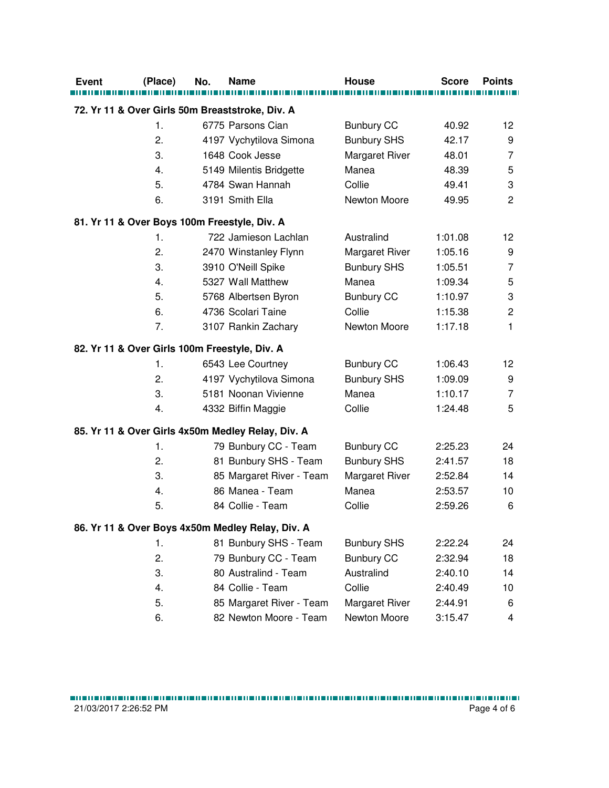| <b>Event</b>                                  | (Place) | No. | Name                                              | <b>House</b>          | <b>Score</b> | <b>Points</b>             |
|-----------------------------------------------|---------|-----|---------------------------------------------------|-----------------------|--------------|---------------------------|
|                                               |         |     |                                                   |                       |              |                           |
|                                               |         |     | 72. Yr 11 & Over Girls 50m Breaststroke, Div. A   |                       |              |                           |
|                                               | 1.      |     | 6775 Parsons Cian                                 | <b>Bunbury CC</b>     | 40.92        | 12                        |
|                                               | 2.      |     | 4197 Vychytilova Simona                           | <b>Bunbury SHS</b>    | 42.17        | 9                         |
|                                               | 3.      |     | 1648 Cook Jesse                                   | Margaret River        | 48.01        | $\overline{7}$            |
|                                               | 4.      |     | 5149 Milentis Bridgette                           | Manea                 | 48.39        | 5                         |
|                                               | 5.      |     | 4784 Swan Hannah                                  | Collie                | 49.41        | $\ensuremath{\mathsf{3}}$ |
|                                               | 6.      |     | 3191 Smith Ella                                   | Newton Moore          | 49.95        | $\overline{c}$            |
|                                               |         |     | 81. Yr 11 & Over Boys 100m Freestyle, Div. A      |                       |              |                           |
|                                               | 1.      |     | 722 Jamieson Lachlan                              | Australind            | 1:01.08      | 12                        |
|                                               | 2.      |     | 2470 Winstanley Flynn                             | <b>Margaret River</b> | 1:05.16      | 9                         |
|                                               | 3.      |     | 3910 O'Neill Spike                                | <b>Bunbury SHS</b>    | 1:05.51      | $\overline{7}$            |
|                                               | 4.      |     | 5327 Wall Matthew                                 | Manea                 | 1:09.34      | 5                         |
|                                               | 5.      |     | 5768 Albertsen Byron                              | <b>Bunbury CC</b>     | 1:10.97      | $\ensuremath{\mathsf{3}}$ |
|                                               | 6.      |     | 4736 Scolari Taine                                | Collie                | 1:15.38      | $\mathbf 2$               |
|                                               | 7.      |     | 3107 Rankin Zachary                               | Newton Moore          | 1:17.18      | 1                         |
| 82. Yr 11 & Over Girls 100m Freestyle, Div. A |         |     |                                                   |                       |              |                           |
|                                               | 1.      |     | 6543 Lee Courtney                                 | <b>Bunbury CC</b>     | 1:06.43      | 12                        |
|                                               | 2.      |     | 4197 Vychytilova Simona                           | <b>Bunbury SHS</b>    | 1:09.09      | 9                         |
|                                               | 3.      |     | 5181 Noonan Vivienne                              | Manea                 | 1:10.17      | $\overline{7}$            |
|                                               | 4.      |     | 4332 Biffin Maggie                                | Collie                | 1:24.48      | 5                         |
|                                               |         |     | 85. Yr 11 & Over Girls 4x50m Medley Relay, Div. A |                       |              |                           |
|                                               | 1.      |     | 79 Bunbury CC - Team                              | <b>Bunbury CC</b>     | 2:25.23      | 24                        |
|                                               | 2.      |     | 81 Bunbury SHS - Team                             | <b>Bunbury SHS</b>    | 2:41.57      | 18                        |
|                                               | 3.      |     | 85 Margaret River - Team                          | Margaret River        | 2:52.84      | 14                        |
|                                               | 4.      |     | 86 Manea - Team                                   | Manea                 | 2:53.57      | 10                        |
|                                               | 5.      |     | 84 Collie - Team                                  | Collie                | 2:59.26      | 6                         |
|                                               |         |     | 86. Yr 11 & Over Boys 4x50m Medley Relay, Div. A  |                       |              |                           |
|                                               | 1.      |     | 81 Bunbury SHS - Team                             | <b>Bunbury SHS</b>    | 2:22.24      | 24                        |
|                                               | 2.      |     | 79 Bunbury CC - Team                              | <b>Bunbury CC</b>     | 2:32.94      | 18                        |
|                                               | 3.      |     | 80 Australind - Team                              | Australind            | 2:40.10      | 14                        |
|                                               | 4.      |     | 84 Collie - Team                                  | Collie                | 2:40.49      | 10                        |
|                                               | 5.      |     | 85 Margaret River - Team                          | Margaret River        | 2:44.91      | 6                         |
|                                               | 6.      |     | 82 Newton Moore - Team                            | Newton Moore          | 3:15.47      | 4                         |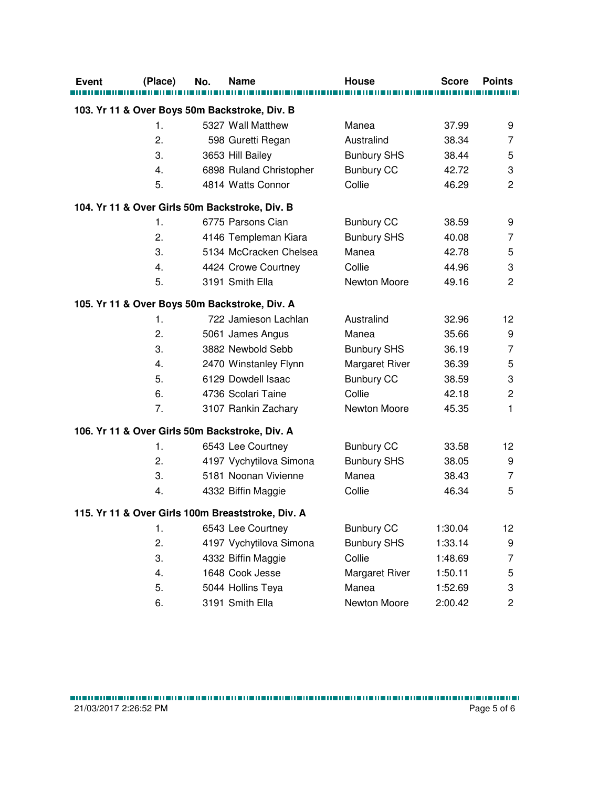| <b>Event</b>                                      | (Place)       | No. | <b>Name</b>                                    | House                 | <b>Score</b> | <b>Points</b>             |  |  |
|---------------------------------------------------|---------------|-----|------------------------------------------------|-----------------------|--------------|---------------------------|--|--|
|                                                   |               |     | 103. Yr 11 & Over Boys 50m Backstroke, Div. B  |                       |              |                           |  |  |
|                                                   | 1.            |     | 5327 Wall Matthew                              | Manea                 | 37.99        | 9                         |  |  |
|                                                   | 2.            |     | 598 Guretti Regan                              | Australind            | 38.34        | 7                         |  |  |
|                                                   | 3.            |     | 3653 Hill Bailey                               | <b>Bunbury SHS</b>    | 38.44        | 5                         |  |  |
|                                                   | 4.            |     | 6898 Ruland Christopher                        | <b>Bunbury CC</b>     | 42.72        | 3                         |  |  |
|                                                   | 5.            |     | 4814 Watts Connor                              | Collie                | 46.29        | $\overline{2}$            |  |  |
|                                                   |               |     |                                                |                       |              |                           |  |  |
|                                                   |               |     | 104. Yr 11 & Over Girls 50m Backstroke, Div. B |                       |              |                           |  |  |
|                                                   | 1.            |     | 6775 Parsons Cian                              | <b>Bunbury CC</b>     | 38.59        | 9                         |  |  |
|                                                   | 2.            |     | 4146 Templeman Kiara                           | <b>Bunbury SHS</b>    | 40.08        | 7                         |  |  |
|                                                   | 3.            |     | 5134 McCracken Chelsea                         | Manea                 | 42.78        | 5                         |  |  |
|                                                   | 4.            |     | 4424 Crowe Courtney                            | Collie                | 44.96        | $\ensuremath{\mathsf{3}}$ |  |  |
|                                                   | 5.            |     | 3191 Smith Ella                                | Newton Moore          | 49.16        | $\overline{2}$            |  |  |
|                                                   |               |     | 105. Yr 11 & Over Boys 50m Backstroke, Div. A  |                       |              |                           |  |  |
|                                                   | $\mathbf 1$ . |     | 722 Jamieson Lachlan                           | Australind            | 32.96        | 12                        |  |  |
|                                                   | 2.            |     | 5061 James Angus                               | Manea                 | 35.66        | 9                         |  |  |
|                                                   | 3.            |     | 3882 Newbold Sebb                              | <b>Bunbury SHS</b>    | 36.19        | $\overline{7}$            |  |  |
|                                                   | 4.            |     | 2470 Winstanley Flynn                          | Margaret River        | 36.39        | 5                         |  |  |
|                                                   | 5.            |     | 6129 Dowdell Isaac                             | <b>Bunbury CC</b>     | 38.59        | 3                         |  |  |
|                                                   | 6.            |     | 4736 Scolari Taine                             | Collie                | 42.18        | $\mathbf 2$               |  |  |
|                                                   | 7.            |     | 3107 Rankin Zachary                            | Newton Moore          | 45.35        | $\mathbf{1}$              |  |  |
|                                                   |               |     | 106. Yr 11 & Over Girls 50m Backstroke, Div. A |                       |              |                           |  |  |
|                                                   | $\mathbf 1$ . |     | 6543 Lee Courtney                              | <b>Bunbury CC</b>     | 33.58        | 12                        |  |  |
|                                                   | 2.            |     | 4197 Vychytilova Simona                        | <b>Bunbury SHS</b>    | 38.05        | 9                         |  |  |
|                                                   | 3.            |     | 5181 Noonan Vivienne                           | Manea                 | 38.43        | 7                         |  |  |
|                                                   | 4.            |     | 4332 Biffin Maggie                             | Collie                | 46.34        | 5                         |  |  |
| 115. Yr 11 & Over Girls 100m Breaststroke, Div. A |               |     |                                                |                       |              |                           |  |  |
|                                                   | 1.            |     | 6543 Lee Courtney                              | <b>Bunbury CC</b>     | 1:30.04      | 12                        |  |  |
|                                                   | 2.            |     | 4197 Vychytilova Simona                        | <b>Bunbury SHS</b>    | 1:33.14      | 9                         |  |  |
|                                                   | 3.            |     | 4332 Biffin Maggie                             | Collie                | 1:48.69      | 7                         |  |  |
|                                                   | 4.            |     | 1648 Cook Jesse                                | <b>Margaret River</b> | 1:50.11      | 5                         |  |  |
|                                                   | 5.            |     | 5044 Hollins Teya                              | Manea                 | 1:52.69      | 3                         |  |  |
|                                                   | 6.            |     | 3191 Smith Ella                                | Newton Moore          | 2:00.42      | $\overline{c}$            |  |  |
|                                                   |               |     |                                                |                       |              |                           |  |  |